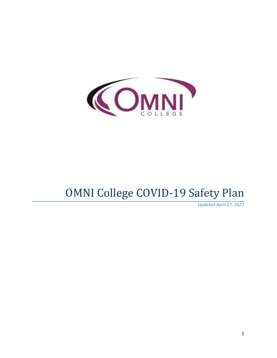

# OMNI College COVID-19 Safety Plan

*Updated April 27, 2022*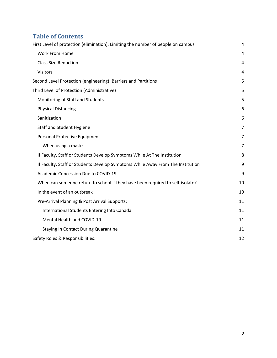# **Table of Contents**

| First Level of protection (elimination): Limiting the number of people on campus |                |
|----------------------------------------------------------------------------------|----------------|
| Work From Home                                                                   | 4              |
| <b>Class Size Reduction</b>                                                      | 4              |
| <b>Visitors</b>                                                                  | 4              |
| Second Level Protection (engineering): Barriers and Partitions                   | 5              |
| Third Level of Protection (Administrative)                                       | 5              |
| Monitoring of Staff and Students                                                 | 5              |
| <b>Physical Distancing</b>                                                       | 6              |
| Sanitization                                                                     | 6              |
| <b>Staff and Student Hygiene</b>                                                 | $\overline{7}$ |
| Personal Protective Equipment                                                    | $\overline{7}$ |
| When using a mask:                                                               | 7              |
| If Faculty, Staff or Students Develop Symptoms While At The Institution          | 8              |
| If Faculty, Staff or Students Develop Symptoms While Away From The Institution   | 9              |
| Academic Concession Due to COVID-19                                              | 9              |
| When can someone return to school if they have been required to self-isolate?    | 10             |
| In the event of an outbreak                                                      | 10             |
| Pre-Arrival Planning & Post Arrival Supports:                                    | 11             |
| International Students Entering Into Canada                                      | 11             |
| Mental Health and COVID-19                                                       | 11             |
| Staying In Contact During Quarantine                                             | 11             |
| Safety Roles & Responsibilities:                                                 | 12             |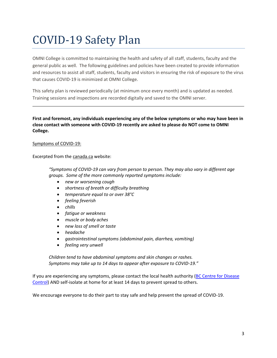# COVID-19 Safety Plan

OMNI College is committed to maintaining the health and safety of all staff, students, faculty and the general public as well. The following guidelines and policies have been created to provide information and resources to assist all staff, students, faculty and visitors in ensuring the risk of exposure to the virus that causes COVID-19 is minimized at OMNI College.

This safety plan is reviewed periodically (at minimum once every month) and is updated as needed. Training sessions and inspections are recorded digitally and saved to the OMNI server.

**First and foremost, any individuals experiencing any of the below symptoms or who may have been in close contact with someone with COVID-19 recently are asked to please do NOT come to OMNI College.** 

#### Symptoms of COVID-19:

Excerpted from the [canada.ca](https://www.canada.ca/en/public-health/services/diseases/2019-novel-coronavirus-infection/symptoms.html) website:

*"Symptoms of COVID-19 can vary from person to person. They may also vary in different age groups. Some of the more commonly reported symptoms include:*

- *new or worsening cough*
- *shortness of breath or difficulty breathing*
- *temperature equal to or over 38°C*
- *feeling feverish*
- *chills*
- *fatigue or weakness*
- *muscle or body aches*
- *new loss of smell or taste*
- *headache*
- *gastrointestinal symptoms (abdominal pain, diarrhea, vomiting)*
- *feeling very unwell*

*Children tend to have abdominal symptoms and skin changes or rashes. Symptoms may take up to 14 days to appear after exposure to COVID-19."*

If you are experiencing any symptoms, please contact the local health authority [\(BC Centre for Disease](http://www.bccdc.ca/health-info/diseases-conditions/covid-19)  [Control\)](http://www.bccdc.ca/health-info/diseases-conditions/covid-19) AND self-isolate at home for at least 14 days to prevent spread to others.

We encourage everyone to do their part to stay safe and help prevent the spread of COVID-19.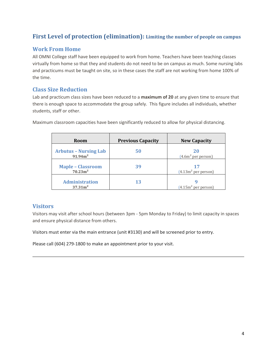# <span id="page-3-0"></span>**First Level of protection (elimination): Limiting the number of people on campus**

# <span id="page-3-1"></span>**Work From Home**

All OMNI College staff have been equipped to work from home. Teachers have been teaching classes virtually from home so that they and students do not need to be on campus as much. Some nursing labs and practicums must be taught on site, so in these cases the staff are not working from home 100% of the time.

#### <span id="page-3-2"></span>**Class Size Reduction**

Lab and practicum class sizes have been reduced to a **maximum of 20** at any given time to ensure that there is enough space to accommodate the group safely. This figure includes all individuals, whether students, staff or other.

| Room                                                | <b>Previous Capacity</b> | <b>New Capacity</b>        |
|-----------------------------------------------------|--------------------------|----------------------------|
| <b>Arbutus - Nursing Lab</b><br>91.94m <sup>2</sup> | 50                       | 20<br>$(4.6m2$ per person) |
| <b>Maple - Classroom</b><br>70.23 m <sup>2</sup>    | 39                       | $(4.13m2$ per person)      |
| <b>Administration</b><br>37.31m <sup>2</sup>        | 13                       | $(4.15m2$ per person)      |

Maximum classroom capacities have been significantly reduced to allow for physical distancing.

# <span id="page-3-3"></span>**Visitors**

Visitors may visit after school hours (between 3pm - 5pm Monday to Friday) to limit capacity in spaces and ensure physical distance from others.

Visitors must enter via the main entrance (unit #3130) and will be screened prior to entry.

Please call (604) 279-1800 to make an appointment prior to your visit.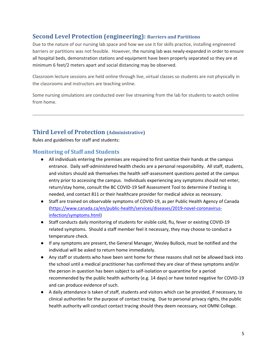# <span id="page-4-0"></span>**Second Level Protection (engineering): Barriers and Partitions**

Due to the nature of our nursing lab space and how we use it for skills practice, installing engineered barriers or partitions was not feasible. However, the nursing lab was newly-expanded in order to ensure all hospital beds, demonstration stations and equipment have been properly separated so they are at minimum 6 feet/2 meters apart and social distancing may be observed.

Classroom lecture sessions are held online through live, virtual classes so students are not physically in the classrooms and instructors are teaching online.

Some nursing simulations are conducted over live streaming from the lab for students to watch online from home.

# <span id="page-4-1"></span>**Third Level of Protection (Administrative)**

Rules and guidelines for staff and students:

### <span id="page-4-2"></span>**Monitoring of Staff and Students**

- All individuals entering the premises are required to first sanitize their hands at the campus entrance. Daily self-administered health checks are a personal responsibility. All staff, students, and visitors should ask themselves the health self-assessment questions posted at the campus entry prior to accessing the campus. Individuals experiencing any symptoms should not enter, return/stay home, consult the BC COVID-19 Self Assessment Tool to determine if testing is needed, and contact 811 or their healthcare provider for medical advice as necessary.
- Staff are trained on observable symptoms of COVID-19, as per Public Health Agency of Canada [\(https://www.canada.ca/en/public-health/services/diseases/2019-novel-coronavirus](https://www.canada.ca/en/public-health/services/diseases/2019-novel-coronavirus-infection/symptoms.html)[infection/symptoms.html\)](https://www.canada.ca/en/public-health/services/diseases/2019-novel-coronavirus-infection/symptoms.html)
- Staff conducts daily monitoring of students for visible cold, flu, fever or existing COVID-19 related symptoms. Should a staff member feel it necessary, they may choose to conduct a temperature check.
- If any symptoms are present, the General Manager, Wesley Bullock, must be notified and the individual will be asked to return home immediately.
- Any staff or students who have been sent home for these reasons shall not be allowed back into the school until a medical practitioner has confirmed they are clear of these symptoms and/or the person in question has been subject to self-isolation or quarantine for a period recommended by the public health authority (e.g. 14 days) or have tested negative for COVID-19 and can produce evidence of such.
- A daily attendance is taken of staff, students and visitors which can be provided, if necessary, to clinical authorities for the purpose of contact tracing. Due to personal privacy rights, the public health authority will conduct contact tracing should they deem necessary, not OMNI College.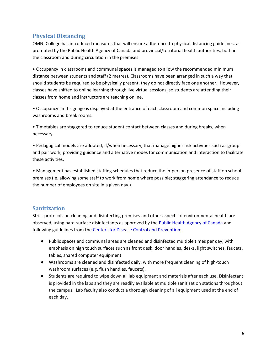# <span id="page-5-0"></span>**Physical Distancing**

OMNI College has introduced measures that will ensure adherence to physical distancing guidelines, as promoted by the Public Health Agency of Canada and provincial/territorial health authorities, both in the classroom and during circulation in the premises

• Occupancy in classrooms and communal spaces is managed to allow the recommended minimum distance between students and staff (2 metres). Classrooms have been arranged in such a way that should students be required to be physically present, they do not directly face one another. However, classes have shifted to online learning through live virtual sessions, so students are attending their classes from home and instructors are teaching online.

• Occupancy limit signage is displayed at the entrance of each classroom and common space including washrooms and break rooms.

• Timetables are staggered to reduce student contact between classes and during breaks, when necessary.

• Pedagogical models are adopted, if/when necessary, that manage higher risk activities such as group and pair work, providing guidance and alternative modes for communication and interaction to facilitate these activities.

• Management has established staffing schedules that reduce the in-person presence of staff on school premises (ie. allowing some staff to work from home where possible; staggering attendance to reduce the number of employees on site in a given day.)

# <span id="page-5-1"></span>**Sanitization**

Strict protocols on cleaning and disinfecting premises and other aspects of environmental health are observed, using hard-surface disinfectants as approved by the **Public Health Agency of Canada** and following guidelines from the [Centers for Disease Control and](https://www.cdc.gov/coronavirus/2019-ncov/community/disinfecting-building-facility.html) Prevention:

- Public spaces and communal areas are cleaned and disinfected multiple times per day, with emphasis on high touch surfaces such as front desk, door handles, desks, light switches, faucets, tables, shared computer equipment.
- Washrooms are cleaned and disinfected daily, with more frequent cleaning of high-touch washroom surfaces (e.g. flush handles, faucets).
- Students are required to wipe down all lab equipment and materials after each use. Disinfectant is provided in the labs and they are readily available at multiple sanitization stations throughout the campus. Lab faculty also conduct a thorough cleaning of all equipment used at the end of each day.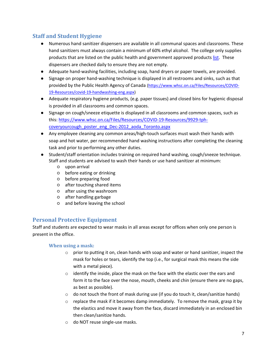# <span id="page-6-0"></span>**Staff and Student Hygiene**

- Numerous hand sanitizer dispensers are available in all communal spaces and classrooms. These hand sanitizers must always contain a minimum of 60% ethyl alcohol. The college only supplies products that are listed on the public health and government approved products [list.](https://www.canada.ca/en/health-canada/services/drugs-health-products/disinfectants/covid-19/list.html) These dispensers are checked daily to ensure they are not empty.
- Adequate hand-washing facilities, including soap, hand dryers or paper towels, are provided.
- Signage on proper hand-washing technique is displayed in all restrooms and sinks, such as that provided by the Public Health Agency of Canada [\(https://www.whsc.on.ca/Files/Resources/COVID-](https://www.whsc.on.ca/Files/Resources/COVID-19-Resources/covid-19-handwashing-eng.aspx)[19-Resources/covid-19-handwashing-eng.aspx\)](https://www.whsc.on.ca/Files/Resources/COVID-19-Resources/covid-19-handwashing-eng.aspx)
- Adequate respiratory hygiene products, (e.g. paper tissues) and closed bins for hygienic disposal is provided in all classrooms and common spaces.
- Signage on cough/sneeze etiquette is displayed in all classrooms and common spaces, such as this[: https://www.whsc.on.ca/Files/Resources/COVID-19-Resources/9929-tph](https://www.whsc.on.ca/Files/Resources/COVID-19-Resources/9929-tph-coveryourcough_poster_eng_Dec-2012_aoda_Toronto.aspx)[coveryourcough\\_poster\\_eng\\_Dec-2012\\_aoda\\_Toronto.aspx](https://www.whsc.on.ca/Files/Resources/COVID-19-Resources/9929-tph-coveryourcough_poster_eng_Dec-2012_aoda_Toronto.aspx)
- Any employee cleaning any common areas/high-touch surfaces must wash their hands with soap and hot water, per recommended hand washing instructions after completing the cleaning task and prior to performing any other duties.
- Student/staff orientation includes training on required hand washing, cough/sneeze technique. Staff and students are advised to wash their hands or use hand sanitizer at minimum:
	- upon arrival
	- before eating or drinking
	- before preparing food
	- after touching shared items
	- after using the washroom
	- after handling garbage
	- and before leaving the school

# <span id="page-6-1"></span>**Personal Protective Equipment**

Staff and students are expected to wear masks in all areas except for offices when only one person is present in the office.

#### <span id="page-6-2"></span>**When using a mask:**

- $\circ$  prior to putting it on, clean hands with soap and water or hand sanitizer, inspect the mask for holes or tears, identify the top (i.e., for surgical mask this means the side with a metal piece).
- $\circ$  identify the inside, place the mask on the face with the elastic over the ears and form it to the face over the nose, mouth, cheeks and chin (ensure there are no gaps, as best as possible).
- $\circ$  do not touch the front of mask during use (if you do touch it, clean/sanitize hands)
- $\circ$  replace the mask if it becomes damp immediately. To remove the mask, grasp it by the elastics and move it away from the face, discard immediately in an enclosed bin then clean/sanitize hands.
- o do NOT reuse single-use masks.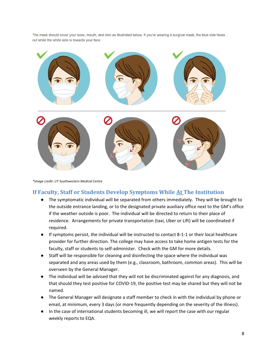The mask should cover your nose, mouth, and chin as illustrated below. If you're wearing a surgical mask, the blue side faces out while the white side is towards your face.



*\*image credit: UT Southwestern Medical Centre*

#### <span id="page-7-0"></span>**If Faculty, Staff or Students Develop Symptoms While At The Institution**

- The symptomatic individual will be separated from others immediately. They will be brought to the outside entrance landing, or to the designated private auxiliary office next to the GM's office if the weather outside is poor. The individual will be directed to return to their place of residence. Arrangements for private transportation (taxi, Uber or Lift) will be coordinated if required.
- If symptoms persist, the individual will be instructed to contact 8-1-1 or their local healthcare provider for further direction. The college may have access to take home antigen tests for the faculty, staff or students to self-administer. Check with the GM for more details.
- Staff will be responsible for cleaning and disinfecting the space where the individual was separated and any areas used by them (e.g., classroom, bathroom, common areas). This will be overseen by the General Manager.
- The individual will be advised that they will not be discriminated against for any diagnosis, and that should they test positive for COVID-19, the positive test may be shared but they will not be named.
- The General Manager will designate a staff member to check in with the individual by phone or email, at minimum, every 3 days (or more frequently depending on the severity of the illness).
- In the case of international students becoming ill, we will report the case with our regular weekly reports to EQA.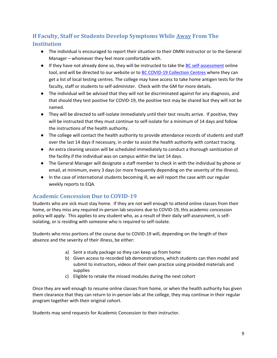# <span id="page-8-0"></span>**If Faculty, Staff or Students Develop Symptoms While Away From The Institution**

- The individual is encouraged to report their situation to their OMNI instructor or to the General Manager – whomever they feel more comfortable with.
- If they have not already done so, they will be instructed to take the [BC self-assessment](https://bc.thrive.health/covid19/en) online tool, and will be directed to our website or to [BC COVID-19 Collection Centres](https://experience.arcgis.com/experience/3862560c5a41418e9d78f4f81688e9d0) where they can get a list of local testing centres. The college may have access to take home antigen tests for the faculty, staff or students to self-administer. Check with the GM for more details.
- The individual will be advised that they will not be discriminated against for any diagnosis, and that should they test positive for COVID-19, the positive test may be shared but they will not be named.
- They will be directed to self-isolate immediately until their test results arrive. If positive, they will be instructed that they must continue to self-isolate for a minimum of 14 days and follow the instructions of the health authority.
- The college will contact the health authority to provide attendance records of students and staff over the last 14 days if necessary, in order to assist the health authority with contact tracing.
- An extra cleaning session will be scheduled immediately to conduct a thorough sanitization of the facility if the individual was on campus within the last 14 days.
- The General Manager will designate a staff member to check in with the individual by phone or email, at minimum, every 3 days (or more frequently depending on the severity of the illness).
- In the case of international students becoming ill, we will report the case with our regular weekly reports to EQA.

# <span id="page-8-1"></span>**Academic Concession Due to COVID-19**

Students who are sick must stay home. If they are not well enough to attend online classes from their home, or they miss any required in-person lab sessions due to COVID-19, this academic concession policy will apply. This applies to any student who, as a result of their daily self-assessment, is selfisolating, or is residing with someone who is required to self-isolate.

Students who miss portions of the course due to COVID-19 will, depending on the length of their absence and the severity of their illness, be either:

- a) Sent a study package so they can keep up from home
- b) Given access to recorded lab demonstrations, which students can then model and submit to instructors, videos of their own practice using provided materials and supplies
- c) Eligible to retake the missed modules during the next cohort

Once they are well enough to resume online classes from home, or when the health authority has given them clearance that they can return to in-person labs at the college, they may continue in their regular program together with their original cohort.

Students may send requests for Academic Concession to their instructor.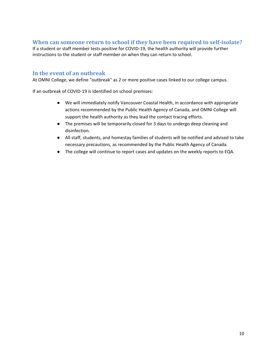# <span id="page-9-0"></span>**When can someone return to school if they have been required to self-isolate?**

If a student or staff member tests positive for COVID-19, the health authority will provide further instructions to the student or staff member on when they can return to school.

#### <span id="page-9-1"></span>**In the event of an outbreak**

At OMNI College, we define "outbreak" as 2 or more positive cases linked to our college campus.

If an outbreak of COVID-19 is identified on school premises:

- We will immediately notify Vancouver Coastal Health, in accordance with appropriate actions recommended by the Public Health Agency of Canada, and OMNI College will support the health authority as they lead the contact tracing efforts.
- The premises will be temporarily closed for 3 days to undergo deep cleaning and disinfection.
- All staff, students, and homestay families of students will be notified and advised to take necessary precautions, as recommended by the Public Health Agency of Canada.
- The college will continue to report cases and updates on the weekly reports to EQA.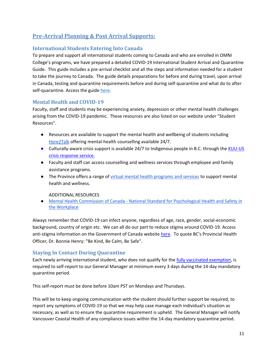# <span id="page-10-0"></span>**Pre-Arrival Planning & Post Arrival Supports:**

## <span id="page-10-1"></span>**International Students Entering Into Canada**

To prepare and support all international students coming to Canada and who are enrolled in OMNI College's programs, we have prepared a detailed COVID-19 International Student Arrival and Quarantine Guide. This guide includes a pre-arrival checklist and all the steps and information needed for a student to take the journey to Canada. The guide details preparations for before and during travel, upon arrival in Canada, testing and quarantine requirements before and during self-quarantine and what do to after self-quarantine. Access the guide [here.](https://www.omnicollege.com/wp-content/uploads/2022/04/OMNI-COVID-19-Intl-Student-Arrival-and-Quarantine-Guide_04272022.pdf)

### <span id="page-10-2"></span>**Mental Health and COVID-19**

Faculty, staff and students may be experiencing anxiety, depression or other mental health challenges arising from the COVID-19 pandemic. These resources are also listed on our website under "Student Resources".

- Resources are available to support the mental health and wellbeing of students including [Here2Talk](https://here2talk.ca/home) offering mental-health counselling available 24/7.
- Culturally-aware crisis support is available 24/7 to Indigenous people in B.C. through the KUU-US [crisis response service.](https://www.kuu-uscrisisline.com/)
- Faculty and staff can access counselling and wellness services through employee and family assistance programs.
- The Province offers a range of [virtual mental health programs and services](https://www2.gov.bc.ca/gov/content/health/managing-your-health/mental-health-substance-use/virtual-supports-covid-19?bcgovtm=20200319_GCPE_AM_COVID_4_NOTIFICATION_BCGOV_BCGOV_EN_BC__NOTIFICATION) to support mental health and wellness.

ADDITIONAL RESOURCES

● Mental Health Commission of Canada - National Standard for Psychological Health and Safety in [the Workplace](https://www.mentalhealthcommission.ca/English/what-we-do/workplace/national-standard)

Always remember that COVID-19 can infect anyone, regardless of age, race, gender, social-economic background, country of origin etc. We can all do our part to reduce stigma around COVID-19. Access anti-stigma information on the Government of Canada website [here.](https://www.canada.ca/en/public-health/services/publications/diseases-conditions/covid-19-testing-reducing-stigma.html) To quote BC's Provincial Health Officer, Dr. Bonnie Henry: "Be Kind, Be Calm, Be Safe".

#### <span id="page-10-3"></span>**Staying In Contact During Quarantine**

Each newly arriving international student, who does not qualify for the [fully vaccinated exemption,](https://travel.gc.ca/travel-covid/travel-restrictions/covid-vaccinated-travellers-entering-canada#entry-vaccinated) is required to self-report to our General Manager at minimum every 3 days during the 14-day mandatory quarantine period.

This self-report must be done before 10am PST on Mondays and Thursdays.

This will be to keep ongoing communication with the student should further support be required, to report any symptoms of COVID-19 so that we may help case manage each individual's situation as necessary, as well as to ensure the quarantine requirement is upheld. The General Manager will notify Vancouver Coastal Health of any compliance issues within the 14-day mandatory quarantine period.